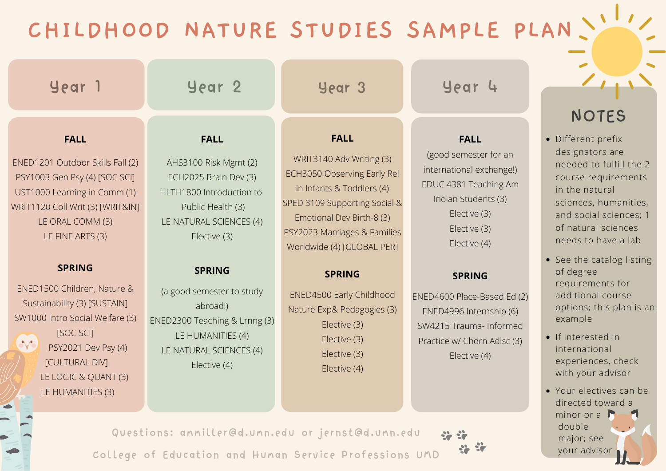## **CHILDHOOD NATURE STUDIES SAMPLE PLAN**

| Year 1                                                                                                                                                                                                                                                                                                                                                                                                                  | Year <sub>2</sub>                                                                                                                                                                                                                                                                                                    | Year 3                                                                                                                                                                                                                                                                                                                                                                            | Year 4                                                                                                                                                                                                                                                                                                                | <b>NOTES</b>                                                                                                                                                                                                                                                                                                                                                                                                                                                                                   |
|-------------------------------------------------------------------------------------------------------------------------------------------------------------------------------------------------------------------------------------------------------------------------------------------------------------------------------------------------------------------------------------------------------------------------|----------------------------------------------------------------------------------------------------------------------------------------------------------------------------------------------------------------------------------------------------------------------------------------------------------------------|-----------------------------------------------------------------------------------------------------------------------------------------------------------------------------------------------------------------------------------------------------------------------------------------------------------------------------------------------------------------------------------|-----------------------------------------------------------------------------------------------------------------------------------------------------------------------------------------------------------------------------------------------------------------------------------------------------------------------|------------------------------------------------------------------------------------------------------------------------------------------------------------------------------------------------------------------------------------------------------------------------------------------------------------------------------------------------------------------------------------------------------------------------------------------------------------------------------------------------|
| <b>FALL</b><br>ENED1201 Outdoor Skills Fall (2)<br>PSY1003 Gen Psy (4) [SOC SCI]<br>UST1000 Learning in Comm (1)<br>WRIT1120 Coll Writ (3) [WRIT&IN]<br>LE ORAL COMM (3)<br>LE FINE ARTS (3)<br><b>SPRING</b><br>ENED1500 Children, Nature &<br>Sustainability (3) [SUSTAIN]<br>SW1000 Intro Social Welfare (3)<br>[SOC SCI]<br>W<br>PSY2021 Dev Psy (4)<br>[CULTURAL DIV]<br>LE LOGIC & QUANT (3)<br>LE HUMANITIES (3) | <b>FALL</b><br>AHS3100 Risk Mgmt (2)<br>ECH2025 Brain Dev (3)<br>HLTH1800 Introduction to<br>Public Health (3)<br>LE NATURAL SCIENCES (4)<br>Elective (3)<br><b>SPRING</b><br>(a good semester to study<br>abroad!)<br>ENED2300 Teaching & Lrnng (3)<br>LE HUMANITIES (4)<br>LE NATURAL SCIENCES (4)<br>Elective (4) | <b>FALL</b><br>WRIT3140 Adv Writing (3)<br>ECH3050 Observing Early Rel<br>in Infants & Toddlers (4)<br>SPED 3109 Supporting Social &<br>Emotional Dev Birth-8 (3)<br>PSY2023 Marriages & Families<br>Worldwide (4) [GLOBAL PER]<br><b>SPRING</b><br><b>ENED4500 Early Childhood</b><br>Nature Exp& Pedagogies (3)<br>Elective (3)<br>Elective (3)<br>Elective (3)<br>Elective (4) | <b>FALL</b><br>(good semester for an<br>international exchange!)<br>EDUC 4381 Teaching Am<br>Indian Students (3)<br>Elective (3)<br>Elective (3)<br>Elective (4)<br><b>SPRING</b><br>ENED4600 Place-Based Ed (2)<br>ENED4996 Internship (6)<br>SW4215 Trauma- Informed<br>Practice w/ Chdrn Adlsc (3)<br>Elective (4) | • Different prefix<br>designators are<br>needed to fulfill the 2<br>course requirements<br>in the natural<br>sciences, humanities,<br>and social sciences; 1<br>of natural sciences<br>needs to have a lab<br>• See the catalog listing<br>of degree<br>requirements for<br>additional course<br>options; this plan is an<br>example<br>• If interested in<br>international<br>experiences, check<br>with your advisor<br>• Your electives can be<br>directed toward a<br>minor or $\mathbf a$ |

Questions: ammiller@d.umn.edu or jernst@d.umn.edu 22.32 College of Education and Human Service Professions UMD

major; see your advisor

 $\ddot{\mathbf{r}}$ 

double